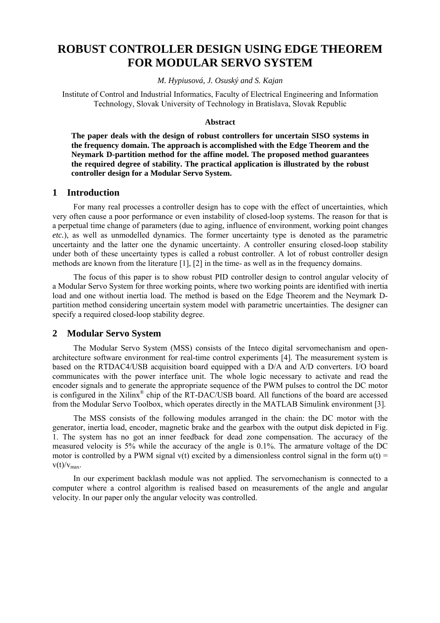# **ROBUST CONTROLLER DESIGN USING EDGE THEOREM FOR MODULAR SERVO SYSTEM**

#### *M. Hypiusová, J. Osuský and S. Kajan*

Institute of Control and Industrial Informatics, Faculty of Electrical Engineering and Information Technology, Slovak University of Technology in Bratislava, Slovak Republic

#### **Abstract**

**The paper deals with the design of robust controllers for uncertain SISO systems in the frequency domain. The approach is accomplished with the Edge Theorem and the Neymark D-partition method for the affine model. The proposed method guarantees the required degree of stability. The practical application is illustrated by the robust controller design for a Modular Servo System.** 

## **1 Introduction**

For many real processes a controller design has to cope with the effect of uncertainties, which very often cause a poor performance or even instability of closed-loop systems. The reason for that is a perpetual time change of parameters (due to aging, influence of environment, working point changes *etc.*), as well as unmodelled dynamics. The former uncertainty type is denoted as the parametric uncertainty and the latter one the dynamic uncertainty. A controller ensuring closed-loop stability under both of these uncertainty types is called a robust controller. A lot of robust controller design methods are known from the literature [1], [2] in the time- as well as in the frequency domains.

The focus of this paper is to show robust PID controller design to control angular velocity of a Modular Servo System for three working points, where two working points are identified with inertia load and one without inertia load. The method is based on the Edge Theorem and the Neymark Dpartition method considering uncertain system model with parametric uncertainties. The designer can specify a required closed-loop stability degree.

### **2 Modular Servo System**

The Modular Servo System (MSS) consists of the Inteco digital servomechanism and openarchitecture software environment for real-time control experiments [4]. The measurement system is based on the RTDAC4/USB acquisition board equipped with a D/A and A/D converters. I/O board communicates with the power interface unit. The whole logic necessary to activate and read the encoder signals and to generate the appropriate sequence of the PWM pulses to control the DC motor is configured in the Xilinx® chip of the RT-DAC/USB board. All functions of the board are accessed from the Modular Servo Toolbox, which operates directly in the MATLAB Simulink environment [3].

The MSS consists of the following modules arranged in the chain: the DC motor with the generator, inertia load, encoder, magnetic brake and the gearbox with the output disk depicted in Fig. 1. The system has no got an inner feedback for dead zone compensation. The accuracy of the measured velocity is 5% while the accuracy of the angle is 0.1%. The armature voltage of the DC motor is controlled by a PWM signal v(t) excited by a dimensionless control signal in the form  $u(t)$  =  $v(t)/v_{\text{max}}$ .

In our experiment backlash module was not applied. The servomechanism is connected to a computer where a control algorithm is realised based on measurements of the angle and angular velocity. In our paper only the angular velocity was controlled.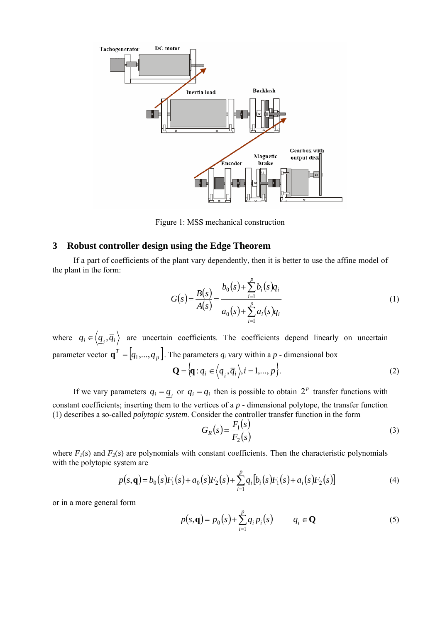

Figure 1: MSS mechanical construction

## **3 Robust controller design using the Edge Theorem**

If a part of coefficients of the plant vary dependently, then it is better to use the affine model of the plant in the form:

$$
G(s) = \frac{B(s)}{A(s)} = \frac{b_0(s) + \sum_{i=1}^p b_i(s)q_i}{a_0(s) + \sum_{i=1}^p a_i(s)q_i}
$$
 (1)

where  $q_i \in \langle \underline{q}_i, \overline{q}_i \rangle$  are uncertain coefficients. The coefficients depend linearly on uncertain parameter vector  $\mathbf{q}^T = [q_1, ..., q_p]$ . The parameters  $q_i$  vary within a *p* - dimensional box

$$
\mathbf{Q} = \{ \mathbf{q} : q_i \in \left\langle \underline{q}_i, \overline{q}_i \right\rangle, i = 1, \dots, p \}.
$$
 (2)

If we vary parameters  $q_i = q$ , or  $q_i = \overline{q}_i$  then is possible to obtain  $2^p$  transfer functions with constant coefficients; inserting them to the vertices of a *p* - dimensional polytope, the transfer function (1) describes a so-called *polytopic system*. Consider the controller transfer function in the form

$$
G_R(s) = \frac{F_1(s)}{F_2(s)}\tag{3}
$$

where  $F_1(s)$  and  $F_2(s)$  are polynomials with constant coefficients. Then the characteristic polynomials with the polytopic system are

$$
p(s, \mathbf{q}) = b_0(s)F_1(s) + a_0(s)F_2(s) + \sum_{i=1}^p q_i [b_i(s)F_1(s) + a_i(s)F_2(s)] \tag{4}
$$

or in a more general form

$$
p(s, \mathbf{q}) = p_0(s) + \sum_{i=1}^{p} q_i p_i(s) \qquad q_i \in \mathbf{Q}
$$
 (5)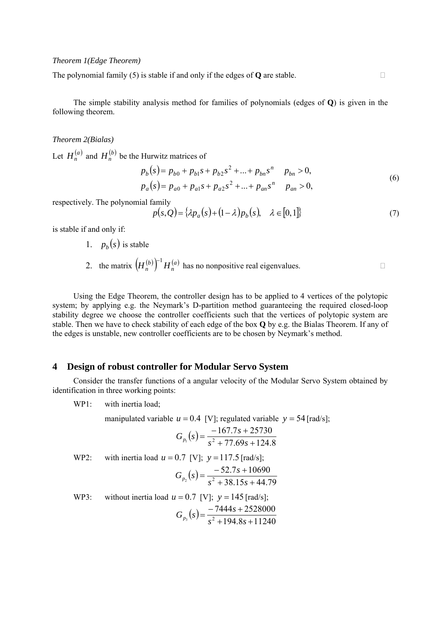## *Theorem 1(Edge Theorem)*

The polynomial family (5) is stable if and only if the edges of **Q** are stable.

The simple stability analysis method for families of polynomials (edges of **Q**) is given in the following theorem.

#### *Theorem 2(Bialas)*

Let  $H_n^{(a)}$  and  $H_n^{(b)}$  be the Hurwitz matrices of

$$
p_b(s) = p_{b0} + p_{b1}s + p_{b2}s^2 + \dots + p_{bn}s^n \t p_{bn} > 0,
$$
  
\n
$$
p_a(s) = p_{a0} + p_{a1}s + p_{a2}s^2 + \dots + p_{an}s^n \t p_{an} > 0,
$$
\n(6)

respectively. The polynomial family

$$
p(s,Q) = {\lambda p_a(s) + (1-\lambda)p_b(s), \quad \lambda \in [0,1]}
$$
 (7)

is stable if and only if:

- 1.  $p<sub>b</sub>(s)$  is stable
- 2. the matrix  $(H_n^{(b)})^{-1}H_n^{(a)}$  has no nonpositive real eigenvalues.

Using the Edge Theorem, the controller design has to be applied to 4 vertices of the polytopic system; by applying e.g. the Neymark's D-partition method guaranteeing the required closed-loop stability degree we choose the controller coefficients such that the vertices of polytopic system are stable. Then we have to check stability of each edge of the box **Q** by e.g. the Bialas Theorem. If any of the edges is unstable, new controller coefficients are to be chosen by Neymark's method.

## **4 Design of robust controller for Modular Servo System**

Consider the transfer functions of a angular velocity of the Modular Servo System obtained by identification in three working points:

WP1: with inertia load;

manipulated variable  $u = 0.4$  [V]; regulated variable  $y = 54$  [rad/s];  $(s) = \frac{-167.7s + 25730}{s^2 + 77.69s + 124.8}$  $G_{p_1}(s) = \frac{-167.7s + 2}{s^2 + 77.69s + 1}$ WP2: with inertia load  $u = 0.7$  [V];  $y = 117.5$  [rad/s];  $(s) = \frac{-52.7s + 10690}{s^2 + 38.15s + 44.79}$  $G_{p_2}(s) = \frac{-52.7s + 10}{s^2 + 38.15s + 10s}$ WP3: without inertia load  $u = 0.7$  [V];  $y = 145$  [rad/s];  $(s) = \frac{-7444s + 2528000}{s^2 + 194.8s + 11240}$  $G_{p_3}(s) = \frac{-7444s + 25}{s^2 + 194.8s + 125}$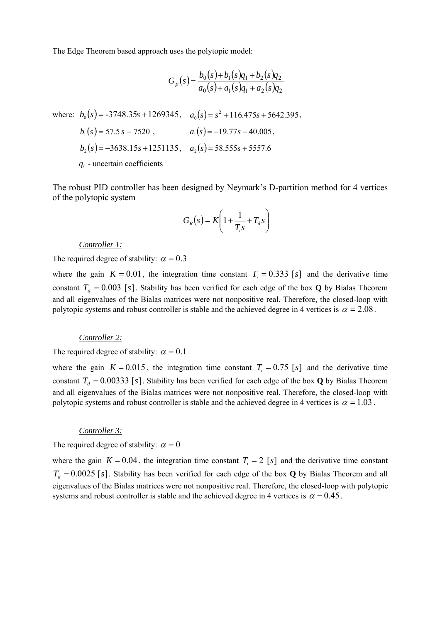The Edge Theorem based approach uses the polytopic model:

$$
G_p(s) = \frac{b_0(s) + b_1(s)q_1 + b_2(s)q_2}{a_0(s) + a_1(s)q_1 + a_2(s)q_2}
$$

where:  $b_0$   $(s)$  = -3748.35s + 1269345,  $a_0$   $(s)$  =  $s^2$  + 116.475s + 5642.395,  $b_1(s) = 57.5 s - 7520$ ,  $a_1(s) = -19.77s - 40.005$ ,  $b_2$   $(s)$  =  $-3638.15 s + 1251135$ ,  $a_2$   $(s)$  = 58.555s + 5557.6 *qi* - uncertain coefficients

The robust PID controller has been designed by Neymark's D-partition method for 4 vertices of the polytopic system

$$
G_R(s) = K \left( 1 + \frac{1}{T_i s} + T_d s \right)
$$

#### *Controller 1:*

The required degree of stability:  $\alpha = 0.3$ 

where the gain  $K = 0.01$ , the integration time constant  $T<sub>i</sub> = 0.333$  [s] and the derivative time constant  $T_d = 0.003$  [s]. Stability has been verified for each edge of the box **Q** by Bialas Theorem and all eigenvalues of the Bialas matrices were not nonpositive real. Therefore, the closed-loop with polytopic systems and robust controller is stable and the achieved degree in 4 vertices is  $\alpha = 2.08$ .

## *Controller 2:*

The required degree of stability:  $\alpha = 0.1$ 

where the gain  $K = 0.015$ , the integration time constant  $T_i = 0.75$  [s] and the derivative time constant  $T_d = 0.00333$  [s]. Stability has been verified for each edge of the box **Q** by Bialas Theorem and all eigenvalues of the Bialas matrices were not nonpositive real. Therefore, the closed-loop with polytopic systems and robust controller is stable and the achieved degree in 4 vertices is  $\alpha = 1.03$ .

### *Controller 3:*

The required degree of stability:  $\alpha = 0$ 

where the gain  $K = 0.04$ , the integration time constant  $T<sub>i</sub> = 2$  [s] and the derivative time constant  $T_d = 0.0025$  [s]. Stability has been verified for each edge of the box **Q** by Bialas Theorem and all eigenvalues of the Bialas matrices were not nonpositive real. Therefore, the closed-loop with polytopic systems and robust controller is stable and the achieved degree in 4 vertices is  $\alpha = 0.45$ .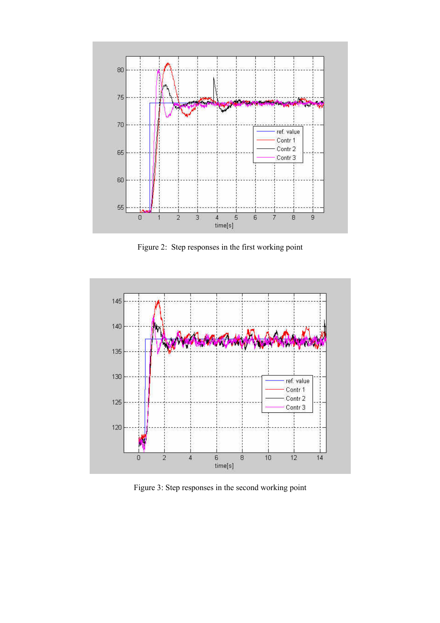

Figure 2: Step responses in the first working point



Figure 3: Step responses in the second working point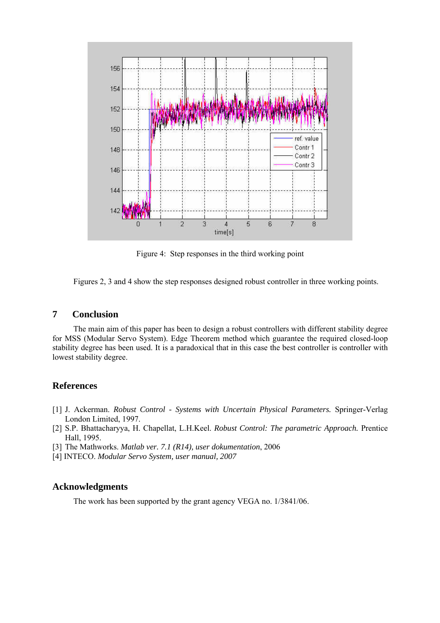

Figure 4: Step responses in the third working point

Figures 2, 3 and 4 show the step responses designed robust controller in three working points.

# **7 Conclusion**

The main aim of this paper has been to design a robust controllers with different stability degree for MSS (Modular Servo System). Edge Theorem method which guarantee the required closed-loop stability degree has been used. It is a paradoxical that in this case the best controller is controller with lowest stability degree.

# **References**

- [1] J. Ackerman. *Robust Control Systems with Uncertain Physical Parameters.* Springer-Verlag London Limited, 1997.
- [2] S.P. Bhattacharyya, H. Chapellat, L.H.Keel. *Robust Control: The parametric Approach.* Prentice Hall, 1995.
- [3] The Mathworks. *Matlab ver. 7.1 (R14), user dokumentation*, 2006
- [4] INTECO. *Modular Servo System, user manual, 2007*

# **Acknowledgments**

The work has been supported by the grant agency VEGA no. 1/3841/06.